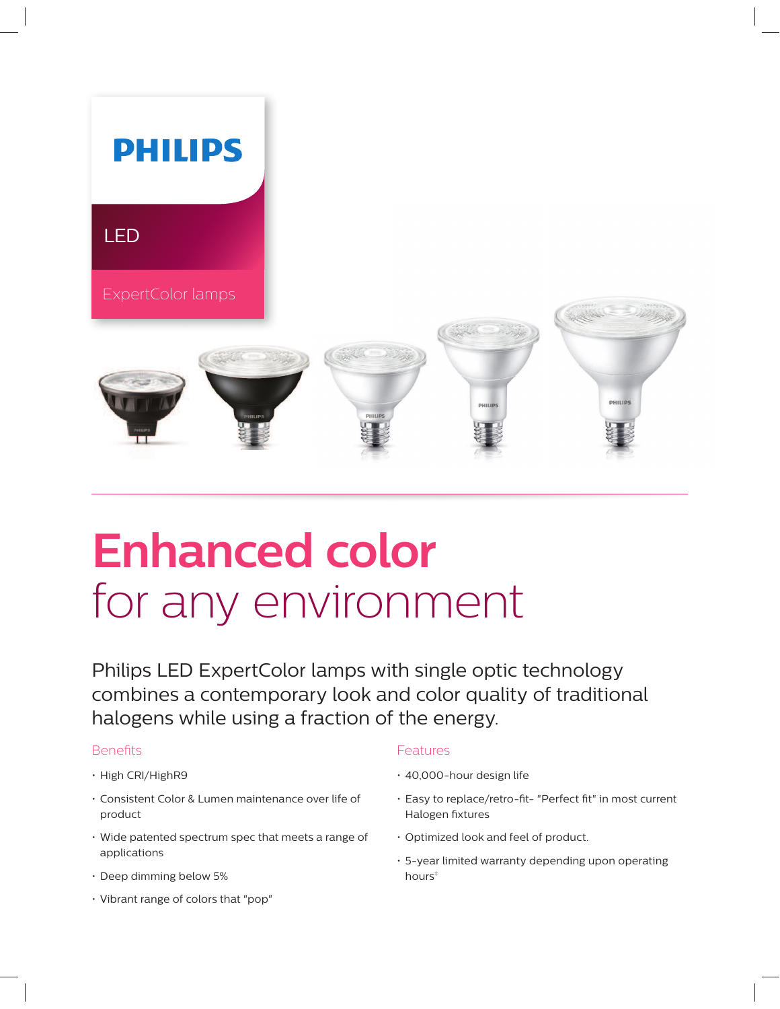

# **Enhanced color** for any environment

Philips LED ExpertColor lamps with single optic technology combines a contemporary look and color quality of traditional halogens while using a fraction of the energy.

### Benefits

- High CRI/HighR9
- Consistent Color & Lumen maintenance over life of product
- Wide patented spectrum spec that meets a range of applications
- Deep dimming below 5%
- Vibrant range of colors that "pop"

## Features

- 40,000-hour design life
- Easy to replace/retro-fit- "Perfect fit" in most current Halogen fixtures
- Optimized look and feel of product.
- 5-year limited warranty depending upon operating hours<sup>#</sup>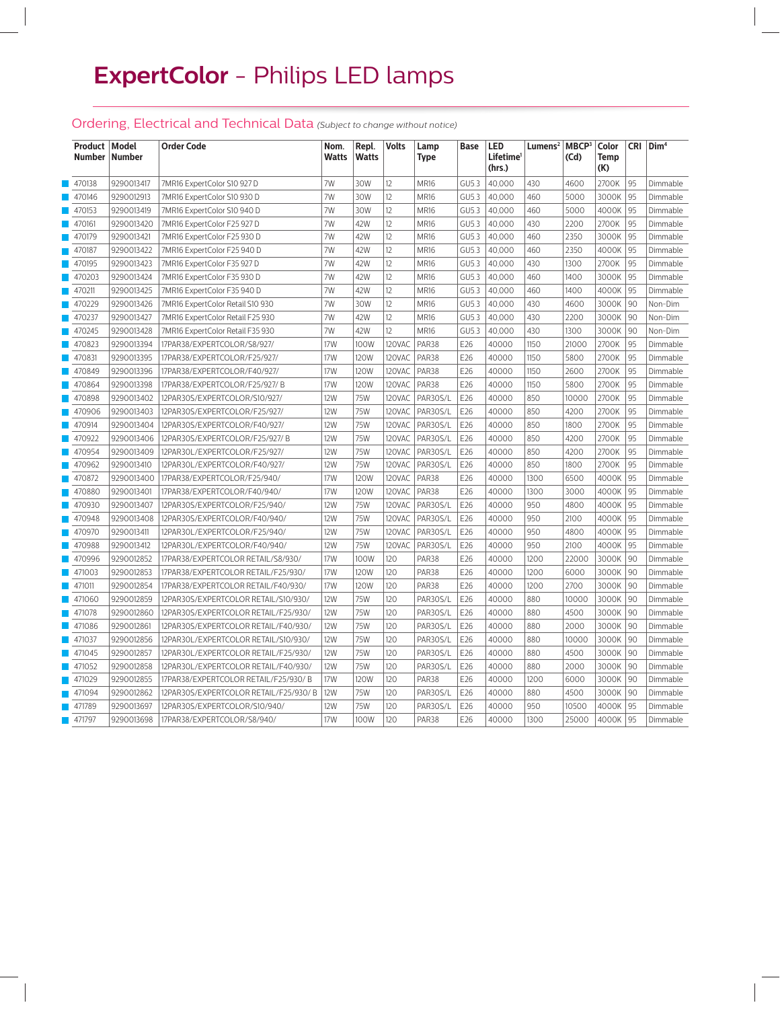# **ExpertColor** - Philips LED lamps

# Ordering, Electrical and Technical Data *(Subject to change without notice)*

| Product   Model       | Number   Number | <b>Order Code</b>                     | Nom.<br>Watts | Repl.<br><b>Watts</b> | <b>Volts</b> | Lamp<br>Type | Base  | LED<br>Lifetime <sup>1</sup><br>(hrs.) | Lumens <sup>2</sup> MBCP <sup>3</sup> | (Cd)  | Color<br>Temp<br>(K) | <b>CRI</b> | Dim <sup>4</sup> |
|-----------------------|-----------------|---------------------------------------|---------------|-----------------------|--------------|--------------|-------|----------------------------------------|---------------------------------------|-------|----------------------|------------|------------------|
| 470138                | 9290013417      | 7MR16 ExpertColor S10 927 D           | 7W            | 30W                   | 12           | MR16         | GU5.3 | 40,000                                 | 430                                   | 4600  | 2700K                | 95         | Dimmable         |
| 470146                | 9290012913      | 7MR16 ExpertColor S10 930 D           | 7W            | 30W                   | 12           | <b>MR16</b>  | GU5.3 | 40,000                                 | 460                                   | 5000  | 3000K                | 95         | Dimmable         |
| 470153                | 9290013419      | 7MR16 ExpertColor S10 940 D           | 7W            | 30W                   | 12           | MR16         | GU5.3 | 40,000                                 | 460                                   | 5000  | 4000K                | 95         | Dimmable         |
| 470161                | 9290013420      | 7MR16 ExpertColor F25 927 D           | 7W            | 42W                   | 12           | <b>MR16</b>  | GU5.3 | 40,000                                 | 430                                   | 2200  | 2700K                | 95         | Dimmable         |
| 470179                | 9290013421      | 7MR16 ExpertColor F25 930 D           | 7W            | 42W                   | 12           | <b>MR16</b>  | GU5.3 | 40,000                                 | 460                                   | 2350  | 3000K                | 95         | Dimmable         |
| 470187                | 9290013422      | 7MR16 ExpertColor F25 940 D           | 7W            | 42W                   | 12           | <b>MR16</b>  | GU5.3 | 40,000                                 | 460                                   | 2350  | 4000K                | 95         | Dimmable         |
| 470195                | 9290013423      | 7MR16 ExpertColor F35 927 D           | 7W            | 42W                   | 12           | <b>MR16</b>  | GU5.3 | 40,000                                 | 430                                   | 1300  | 2700K                | 95         | Dimmable         |
| 470203                | 9290013424      | 7MR16 ExpertColor F35 930 D           | 7W            | 42W                   | 12           | MR16         | GU5.3 | 40,000                                 | 460                                   | 1400  | 3000K                | 95         | Dimmable         |
| 470211                | 9290013425      | 7MR16 ExpertColor F35 940 D           | 7W            | 42W                   | 12           | MR16         | GU5.3 | 40,000                                 | 460                                   | 1400  | 4000K                | 95         | Dimmable         |
| 470229                | 9290013426      | 7MR16 ExpertColor Retail S10 930      | 7W            | 30W                   | 12           | MR16         | GU5.3 | 40,000                                 | 430                                   | 4600  | 3000K                | 90         | Non-Dim          |
| 470237                | 9290013427      | 7MR16 ExpertColor Retail F25 930      | 7W            | 42W                   | 12           | <b>MR16</b>  | GU5.3 | 40.000                                 | 430                                   | 2200  | 3000K                | 90         | Non-Dim          |
| 470245                | 9290013428      | 7MR16 ExpertColor Retail F35 930      | 7W            | 42W                   | 12           | <b>MR16</b>  | GU5.3 | 40,000                                 | 430                                   | 1300  | 3000K                | 90         | Non-Dim          |
| 470823                | 9290013394      | 17PAR38/EXPERTCOLOR/S8/927/           | 17W           | 100W                  | 120VAC       | PAR38        | E26   | 40000                                  | 1150                                  | 21000 | 2700K                | 95         | Dimmable         |
| 470831                | 9290013395      | 17PAR38/EXPERTCOLOR/F25/927/          | 17W           | 120W                  | 120VAC       | PAR38        | E26   | 40000                                  | 1150                                  | 5800  | 2700K                | 95         | Dimmable         |
| 470849                | 9290013396      | 17PAR38/EXPERTCOLOR/F40/927/          | 17W           | 120W                  | 120VAC       | PAR38        | E26   | 40000                                  | 1150                                  | 2600  | 2700K                | 95         | Dimmable         |
| 470864                | 9290013398      | 17PAR38/EXPERTCOLOR/F25/927/B         | 17W           | 120W                  | 120VAC       | PAR38        | E26   | 40000                                  | 1150                                  | 5800  | 2700K                | 95         | Dimmable         |
| 470898                | 9290013402      | 12PAR30S/EXPERTCOLOR/S10/927/         | 12W           | 75W                   | 120VAC       | PAR30S/L     | E26   | 40000                                  | 850                                   | 10000 | 2700K                | 95         | Dimmable         |
| 470906                | 9290013403      | 12PAR30S/EXPERTCOLOR/F25/927/         | <b>12W</b>    | 75W                   | 120VAC       | PAR30S/L     | E26   | 40000                                  | 850                                   | 4200  | 2700K                | 95         | Dimmable         |
| 470914                | 9290013404      | 12PAR30S/EXPERTCOLOR/F40/927/         | <b>12W</b>    | 75W                   | 120VAC       | PAR30S/L     | E26   | 40000                                  | 850                                   | 1800  | 2700K                | 95         | Dimmable         |
| 470922                | 9290013406      | 12PAR30S/EXPERTCOLOR/F25/927/B        | <b>12W</b>    | 75W                   | 120VAC       | PAR30S/L     | E26   | 40000                                  | 850                                   | 4200  | 2700K                | 95         | Dimmable         |
| 470954                | 9290013409      | 12PAR30L/EXPERTCOLOR/F25/927/         | 12W           | 75W                   | 120VAC       | PAR30S/L     | E26   | 40000                                  | 850                                   | 4200  | 2700K                | 95         | Dimmable         |
| 470962                | 9290013410      | 12PAR3OL/EXPERTCOLOR/F40/927/         | 12W           | 75W                   | 120VAC       | PAR30S/L     | E26   | 40000                                  | 850                                   | 1800  | 2700K                | 95         | Dimmable         |
| 470872                | 9290013400      | 17PAR38/EXPERTCOLOR/F25/940/          | 17W           | 120W                  | 120VAC       | PAR38        | E26   | 40000                                  | 1300                                  | 6500  | 4000K                | 95         | Dimmable         |
| 470880                | 9290013401      | 17PAR38/EXPERTCOLOR/F40/940/          | 17W           | 120W                  | 120VAC       | PAR38        | E26   | 40000                                  | 1300                                  | 3000  | 4000K                | 95         | Dimmable         |
| 470930                | 9290013407      | 12PAR30S/EXPERTCOLOR/F25/940/         | <b>12W</b>    | 75W                   | 120VAC       | PAR30S/L     | E26   | 40000                                  | 950                                   | 4800  | 4000K                | 95         | Dimmable         |
| 470948                | 9290013408      | 12PAR30S/EXPERTCOLOR/F40/940/         | 12W           | 75W                   | 120VAC       | PAR30S/L     | E26   | 40000                                  | 950                                   | 2100  | 4000K                | 95         | Dimmable         |
| 470970                | 9290013411      | 12PAR30L/EXPERTCOLOR/F25/940/         | <b>12W</b>    | 75W                   | 120VAC       | PAR30S/L     | E26   | 40000                                  | 950                                   | 4800  | 4000K                | 95         | Dimmable         |
| 470988                | 9290013412      | 12PAR30L/EXPERTCOLOR/F40/940/         | <b>12W</b>    | 75W                   | 120VAC       | PAR30S/L     | E26   | 40000                                  | 950                                   | 2100  | 4000K                | 95         | Dimmable         |
| 470996                | 9290012852      | 17PAR38/EXPERTCOLOR RETAIL/S8/930/    | 17W           | 100W                  | 120          | PAR38        | E26   | 40000                                  | 1200                                  | 22000 | 3000K                | 90         | Dimmable         |
| 471003                | 9290012853      | 17PAR38/EXPERTCOLOR RETAIL/F25/930/   | 17W           | 120W                  | 120          | PAR38        | E26   | 40000                                  | 1200                                  | 6000  | 3000K                | 90         | Dimmable         |
| 471011                | 9290012854      | 17PAR38/EXPERTCOLOR RETAIL/F40/930/   | 17W           | 120W                  | 120          | PAR38        | E26   | 40000                                  | 1200                                  | 2700  | 3000K                | 90         | Dimmable         |
| 471060                | 9290012859      | 12PAR30S/EXPERTCOLOR RETAIL/S10/930/  | 12W           | 75W                   | 120          | PAR30S/L     | E26   | 40000                                  | 880                                   | 10000 | 3000K                | 90         | Dimmable         |
| 471078                | 9290012860      | 12PAR30S/EXPERTCOLOR RETAIL/F25/930/  | <b>12W</b>    | 75W                   | 120          | PAR30S/L     | E26   | 40000                                  | 880                                   | 4500  | 3000K                | 90         | Dimmable         |
| 471086                | 9290012861      | 12PAR30S/EXPERTCOLOR RETAIL/F40/930/  | <b>12W</b>    | 75W                   | 120          | PAR30S/L     | E26   | 40000                                  | 880                                   | 2000  | 3000K                | 90         | Dimmable         |
| 471037                | 9290012856      | 12PAR3OL/EXPERTCOLOR RETAIL/S10/930/  | <b>12W</b>    | 75W                   | 120          | PAR30S/L     | E26   | 40000                                  | 880                                   | 10000 | 3000K                | 90         | Dimmable         |
| 471045                | 9290012857      | 12PAR30L/EXPERTCOLOR RETAIL/F25/930/  | <b>12W</b>    | 75W                   | 120          | PAR30S/L     | E26   | 40000                                  | 880                                   | 4500  | 3000K                | 90         | Dimmable         |
| 471052                | 9290012858      | 12PAR30L/EXPERTCOLOR RETAIL/F40/930/  | 12W           | 75W                   | 120          | PAR30S/L     | E26   | 40000                                  | 880                                   | 2000  | 3000K                | 90         | Dimmable         |
| 471029                | 9290012855      | 17PAR38/EXPERTCOLOR RETAIL/F25/930/B  | 17W           | 120W                  | 120          | PAR38        | E26   | 40000                                  | 1200                                  | 6000  | 3000K                | 90         | Dimmable         |
| 471094                | 9290012862      | 12PAR30S/EXPERTCOLOR RETAIL/F25/930/B | 12W           | 75W                   | 120          | PAR30S/L     | E26   | 40000                                  | 880                                   | 4500  | 3000K                | 90         | Dimmable         |
| $\blacksquare$ 471789 | 9290013697      | 12PAR30S/EXPERTCOLOR/S10/940/         | <b>12W</b>    | 75W                   | 120          | PAR30S/L     | E26   | 40000                                  | 950                                   | 10500 | 4000K                | 95         | Dimmable         |
| $\blacksquare$ 471797 | 9290013698      | 17PAR38/EXPERTCOLOR/S8/940/           | 17W           | 100W                  | 120          | PAR38        | E26   | 40000                                  | 1300                                  | 25000 | 4000K                | 95         | Dimmable         |